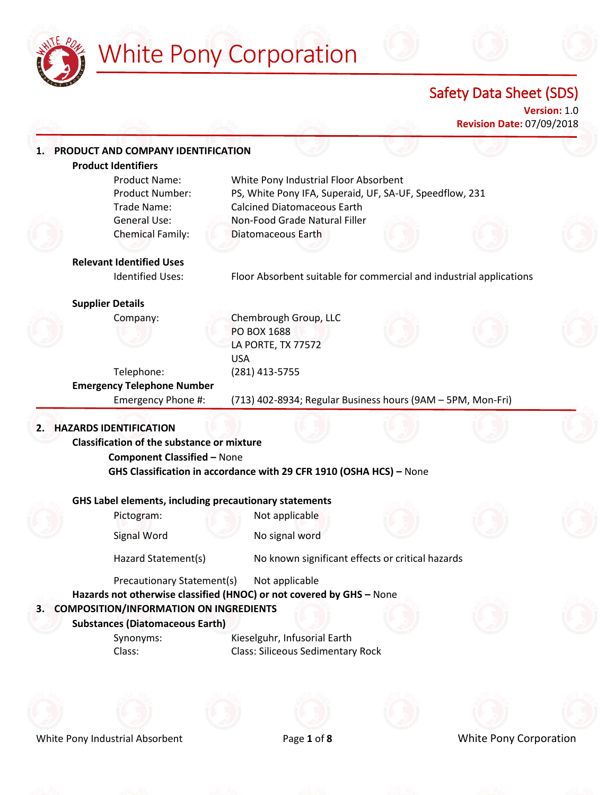

# White Pony Corporation

Safety Data Sheet (SDS)

**Version:** 1.0 **Revision Date:** 07/09/2018

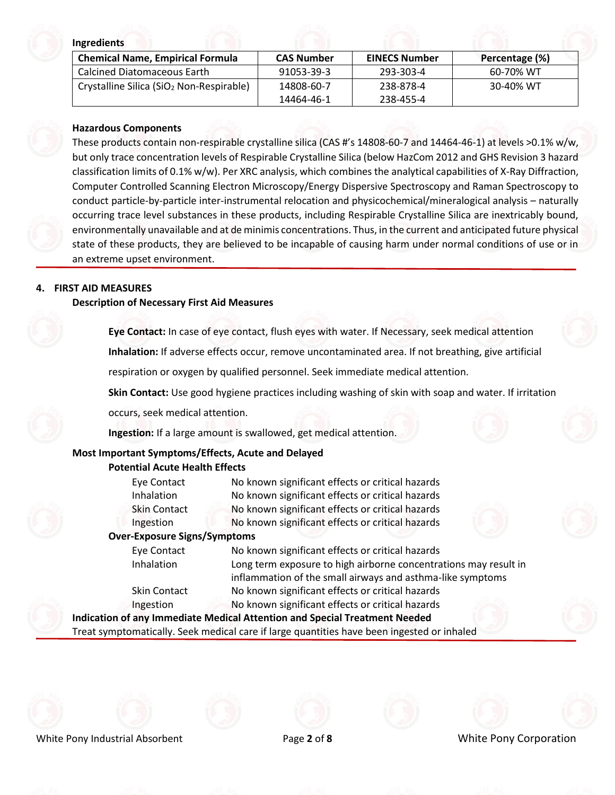#### **Ingredients**

| <b>Chemical Name, Empirical Formula</b>                      | <b>CAS Number</b> | <b>EINECS Number</b> | Percentage (%) |  |
|--------------------------------------------------------------|-------------------|----------------------|----------------|--|
| l Calcined Diatomaceous Earth                                | 91053-39-3        | 293-303-4            | 60-70% WT      |  |
| $\vert$ Crystalline Silica (SiO <sub>2</sub> Non-Respirable) | 14808-60-7        | 238-878-4            | 30-40% WT      |  |
|                                                              | 14464-46-1        | 238-455-4            |                |  |

#### **Hazardous Components**

These products contain non-respirable crystalline silica (CAS #'s 14808-60-7 and 14464-46-1) at levels >0.1% w/w, but only trace concentration levels of Respirable Crystalline Silica (below HazCom 2012 and GHS Revision 3 hazard classification limits of 0.1% w/w). Per XRC analysis, which combines the analytical capabilities of X-Ray Diffraction, Computer Controlled Scanning Electron Microscopy/Energy Dispersive Spectroscopy and Raman Spectroscopy to conduct particle-by-particle inter-instrumental relocation and physicochemical/mineralogical analysis – naturally occurring trace level substances in these products, including Respirable Crystalline Silica are inextricably bound, environmentally unavailable and at de minimis concentrations. Thus, in the current and anticipated future physical state of these products, they are believed to be incapable of causing harm under normal conditions of use or in an extreme upset environment.

# **4. FIRST AID MEASURES**

#### **Description of Necessary First Aid Measures**

**Eye Contact:** In case of eye contact, flush eyes with water. If Necessary, seek medical attention **Inhalation:** If adverse effects occur, remove uncontaminated area. If not breathing, give artificial

respiration or oxygen by qualified personnel. Seek immediate medical attention.

**Skin Contact:** Use good hygiene practices including washing of skin with soap and water. If irritation

occurs, seek medical attention.

**Ingestion:** If a large amount is swallowed, get medical attention.

# **Most Important Symptoms/Effects, Acute and Delayed**

#### **Potential Acute Health Effects**

Eye Contact No known significant effects or critical hazards Inhalation No known significant effects or critical hazards Skin Contact No known significant effects or critical hazards Ingestion No known significant effects or critical hazards

#### **Over-Exposure Signs/Symptoms**

Eye Contact No known significant effects or critical hazards Inhalation Long term exposure to high airborne concentrations may result in inflammation of the small airways and asthma-like symptoms Skin Contact No known significant effects or critical hazards Ingestion No known significant effects or critical hazards **Indication of any Immediate Medical Attention and Special Treatment Needed**

Treat symptomatically. Seek medical care if large quantities have been ingested or inhaled









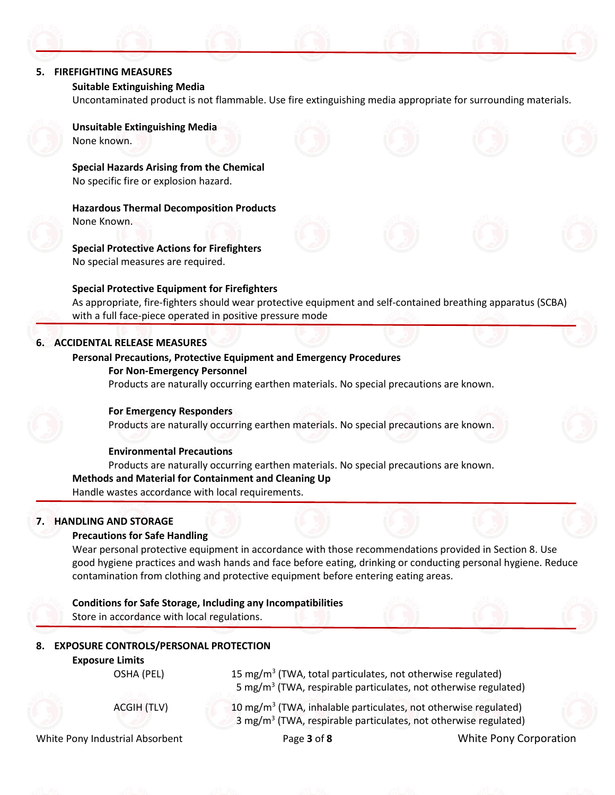

#### **Suitable Extinguishing Media**

Uncontaminated product is not flammable. Use fire extinguishing media appropriate for surrounding materials.



**Unsuitable Extinguishing Media** None known.

**Special Hazards Arising from the Chemical** No specific fire or explosion hazard.

**Hazardous Thermal Decomposition Products** None Known.

**Special Protective Actions for Firefighters** No special measures are required.

# **Special Protective Equipment for Firefighters**

As appropriate, fire-fighters should wear protective equipment and self-contained breathing apparatus (SCBA) with a full face-piece operated in positive pressure mode

# **6. ACCIDENTAL RELEASE MEASURES**

### **Personal Precautions, Protective Equipment and Emergency Procedures**

#### **For Non-Emergency Personnel**

Products are naturally occurring earthen materials. No special precautions are known.



### **For Emergency Responders**

Products are naturally occurring earthen materials. No special precautions are known.

# **Environmental Precautions**

Products are naturally occurring earthen materials. No special precautions are known. **Methods and Material for Containment and Cleaning Up** Handle wastes accordance with local requirements.

# **7. HANDLING AND STORAGE**

#### **Precautions for Safe Handling**

Wear personal protective equipment in accordance with those recommendations provided in Section 8. Use good hygiene practices and wash hands and face before eating, drinking or conducting personal hygiene. Reduce contamination from clothing and protective equipment before entering eating areas.

**Conditions for Safe Storage, Including any Incompatibilities** Store in accordance with local regulations.

# **8. EXPOSURE CONTROLS/PERSONAL PROTECTION**

# **Exposure Limits**

OSHA (PEL)

ACGIH (TLV)

15 mg/m<sup>3</sup> (TWA, total particulates, not otherwise regulated) 5 mg/m<sup>3</sup> (TWA, respirable particulates, not otherwise regulated)

10 mg/m<sup>3</sup> (TWA, inhalable particulates, not otherwise regulated) 3 mg/m<sup>3</sup> (TWA, respirable particulates, not otherwise regulated)

White Pony Industrial Absorbent Page **3** of **8** White Pony Corporation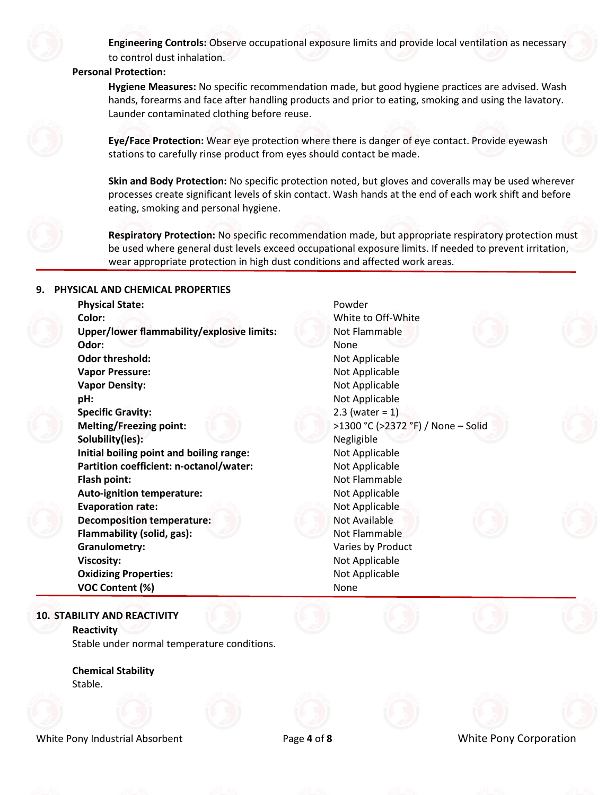

**Engineering Controls:** Observe occupational exposure limits and provide local ventilation as necessary to control dust inhalation.

#### **Personal Protection:**

**Hygiene Measures:** No specific recommendation made, but good hygiene practices are advised. Wash hands, forearms and face after handling products and prior to eating, smoking and using the lavatory. Launder contaminated clothing before reuse.



**Eye/Face Protection:** Wear eye protection where there is danger of eye contact. Provide eyewash stations to carefully rinse product from eyes should contact be made.

**Skin and Body Protection:** No specific protection noted, but gloves and coveralls may be used wherever processes create significant levels of skin contact. Wash hands at the end of each work shift and before eating, smoking and personal hygiene.

**Respiratory Protection:** No specific recommendation made, but appropriate respiratory protection must be used where general dust levels exceed occupational exposure limits. If needed to prevent irritation, wear appropriate protection in high dust conditions and affected work areas.

# **9. PHYSICAL AND CHEMICAL PROPERTIES**

| <b>Physical State:</b>                            | Powder                             |  |
|---------------------------------------------------|------------------------------------|--|
| Color:                                            | White to Off-White                 |  |
| <b>Upper/lower flammability/explosive limits:</b> | Not Flammable                      |  |
| Odor:                                             | None                               |  |
| <b>Odor threshold:</b>                            | Not Applicable                     |  |
| <b>Vapor Pressure:</b>                            | Not Applicable                     |  |
| <b>Vapor Density:</b>                             | Not Applicable                     |  |
| pH:                                               | Not Applicable                     |  |
| <b>Specific Gravity:</b>                          | 2.3 (water = $1$ )                 |  |
| <b>Melting/Freezing point:</b>                    | >1300 °C (>2372 °F) / None - Solid |  |
| Solubility(ies):                                  | Negligible                         |  |
| Initial boiling point and boiling range:          | Not Applicable                     |  |
| Partition coefficient: n-octanol/water:           | Not Applicable                     |  |
| Flash point:                                      | Not Flammable                      |  |
| <b>Auto-ignition temperature:</b>                 | Not Applicable                     |  |
| <b>Evaporation rate:</b>                          | Not Applicable                     |  |
| <b>Decomposition temperature:</b>                 | Not Available                      |  |
| Flammability (solid, gas):                        | Not Flammable                      |  |
| <b>Granulometry:</b>                              | Varies by Product                  |  |
| <b>Viscosity:</b>                                 | Not Applicable                     |  |
| <b>Oxidizing Properties:</b>                      | Not Applicable                     |  |
| <b>VOC Content (%)</b>                            | None                               |  |
|                                                   |                                    |  |

#### **10. STABILITY AND REACTIVITY**

**Reactivity** Stable under normal temperature conditions.

**Chemical Stability** Stable.







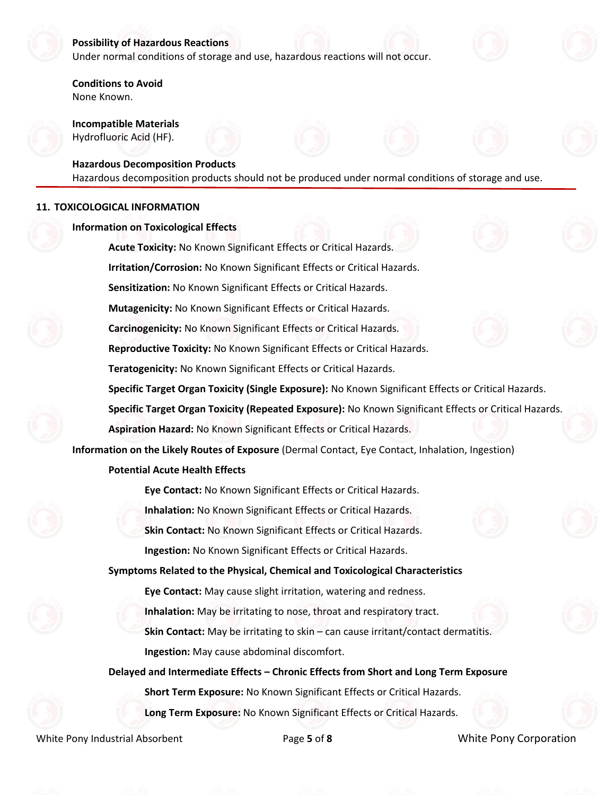

#### **Possibility of Hazardous Reactions**

Under normal conditions of storage and use, hazardous reactions will not occur.

**Conditions to Avoid** None Known.

**Incompatible Materials** Hydrofluoric Acid (HF).

#### **Hazardous Decomposition Products**

Hazardous decomposition products should not be produced under normal conditions of storage and use.

#### **11. TOXICOLOGICAL INFORMATION**

| <b>Information on Toxicological Effects</b>                                                           |  |
|-------------------------------------------------------------------------------------------------------|--|
| Acute Toxicity: No Known Significant Effects or Critical Hazards.                                     |  |
| Irritation/Corrosion: No Known Significant Effects or Critical Hazards.                               |  |
| Sensitization: No Known Significant Effects or Critical Hazards.                                      |  |
| Mutagenicity: No Known Significant Effects or Critical Hazards.                                       |  |
| Carcinogenicity: No Known Significant Effects or Critical Hazards.                                    |  |
| Reproductive Toxicity: No Known Significant Effects or Critical Hazards.                              |  |
| Teratogenicity: No Known Significant Effects or Critical Hazards.                                     |  |
| Specific Target Organ Toxicity (Single Exposure): No Known Significant Effects or Critical Hazards.   |  |
| Specific Target Organ Toxicity (Repeated Exposure): No Known Significant Effects or Critical Hazards. |  |
| Aspiration Hazard: No Known Significant Effects or Critical Hazards.                                  |  |
| Information on the Likely Routes of Exposure (Dermal Contact, Eye Contact, Inhalation, Ingestion)     |  |
| <b>Potential Acute Health Effects</b>                                                                 |  |
| Eye Contact: No Known Significant Effects or Critical Hazards.                                        |  |
| Inhalation: No Known Significant Effects or Critical Hazards.                                         |  |
| Skin Contact: No Known Significant Effects or Critical Hazards.                                       |  |
| Ingestion: No Known Significant Effects or Critical Hazards.                                          |  |
| Symptoms Related to the Physical, Chemical and Toxicological Characteristics                          |  |
| Eye Contact: May cause slight irritation, watering and redness.                                       |  |
| Inhalation: May be irritating to nose, throat and respiratory tract.                                  |  |
| Skin Contact: May be irritating to skin - can cause irritant/contact dermatitis.                      |  |
| Ingestion: May cause abdominal discomfort.                                                            |  |
| Delayed and Intermediate Effects - Chronic Effects from Short and Long Term Exposure                  |  |
| Short Term Exposure: No Known Significant Effects or Critical Hazards.                                |  |
| Long Term Exposure: No Known Significant Effects or Critical Hazards.                                 |  |
|                                                                                                       |  |

White Pony Industrial Absorbent Page 5 of 8 White Pony Corporation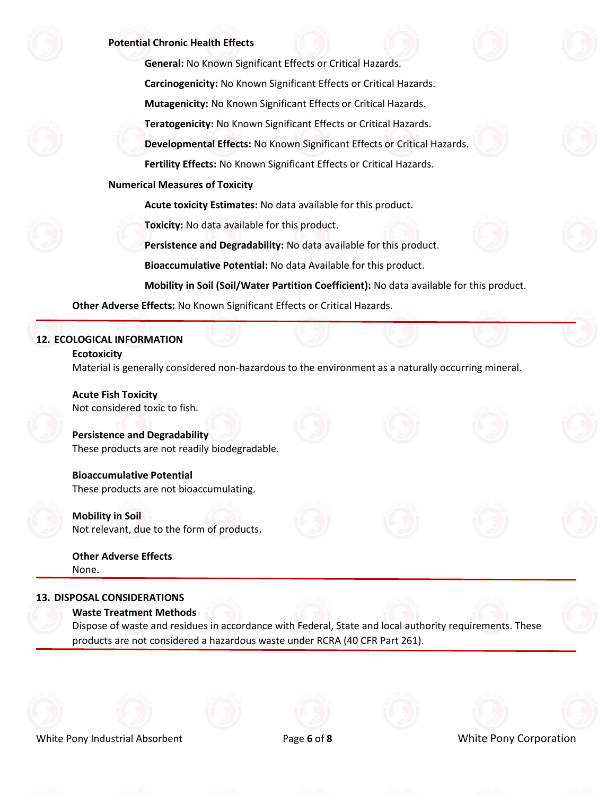

#### **Potential Chronic Health Effects**

**General:** No Known Significant Effects or Critical Hazards. **Carcinogenicity:** No Known Significant Effects or Critical Hazards. **Mutagenicity:** No Known Significant Effects or Critical Hazards. **Teratogenicity:** No Known Significant Effects or Critical Hazards. **Developmental Effects:** No Known Significant Effects or Critical Hazards.

**Fertility Effects:** No Known Significant Effects or Critical Hazards.

#### **Numerical Measures of Toxicity**

**Acute toxicity Estimates:** No data available for this product.

**Toxicity:** No data available for this product.

**Persistence and Degradability:** No data available for this product.

**Bioaccumulative Potential:** No data Available for this product.

**Mobility in Soil (Soil/Water Partition Coefficient):** No data available for this product.

**Other Adverse Effects:** No Known Significant Effects or Critical Hazards.

#### **12. ECOLOGICAL INFORMATION**

#### **Ecotoxicity**

Material is generally considered non-hazardous to the environment as a naturally occurring mineral.

**Acute Fish Toxicity** Not considered toxic to fish.

**Persistence and Degradability** These products are not readily biodegradable.

**Bioaccumulative Potential** These products are not bioaccumulating.

**Mobility in Soil** Not relevant, due to the form of products.

**Other Adverse Effects** None.

# **13. DISPOSAL CONSIDERATIONS**

**Waste Treatment Methods**

Dispose of waste and residues in accordance with Federal, State and local authority requirements. These products are not considered a hazardous waste under RCRA (40 CFR Part 261).









### White Pony Industrial Absorbent Page **6** of **8** White Pony Corporation



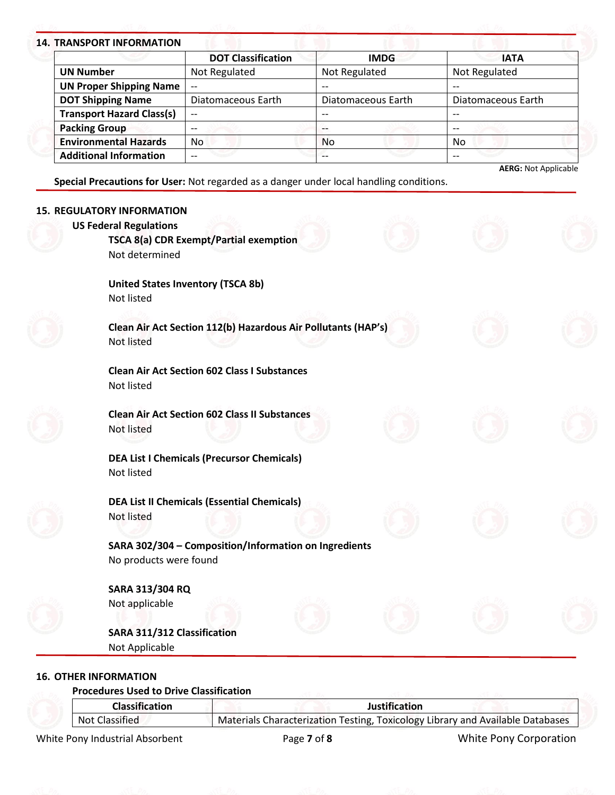# **14. TRANSPORT INFORMATION**

| I NANJE VRL INI VRIVIATIVNI      |                           |                    |                    |
|----------------------------------|---------------------------|--------------------|--------------------|
|                                  | <b>DOT Classification</b> | <b>IMDG</b>        | <b>IATA</b>        |
| <b>UN Number</b>                 | Not Regulated             | Not Regulated      | Not Regulated      |
| <b>UN Proper Shipping Name</b>   | $-$                       | $- -$              |                    |
| <b>DOT Shipping Name</b>         | Diatomaceous Earth        | Diatomaceous Earth | Diatomaceous Earth |
| <b>Transport Hazard Class(s)</b> | $- -$                     | $- -$              | --                 |
| <b>Packing Group</b>             | --                        |                    | $- -$              |
| <b>Environmental Hazards</b>     | No.                       | <b>No</b>          | <b>No</b>          |
| <b>Additional Information</b>    | --                        |                    |                    |

**Special Precautions for User:** Not regarded as a danger under local handling conditions.

| <b>15. REGULATORY INFORMATION</b>                                                         |  |
|-------------------------------------------------------------------------------------------|--|
| <b>US Federal Regulations</b><br>TSCA 8(a) CDR Exempt/Partial exemption<br>Not determined |  |
| <b>United States Inventory (TSCA 8b)</b><br>Not listed                                    |  |
| Clean Air Act Section 112(b) Hazardous Air Pollutants (HAP's)<br><b>Not listed</b>        |  |
| <b>Clean Air Act Section 602 Class I Substances</b><br>Not listed                         |  |
| <b>Clean Air Act Section 602 Class II Substances</b><br>Not listed                        |  |
| <b>DEA List I Chemicals (Precursor Chemicals)</b><br>Not listed                           |  |
| <b>DEA List II Chemicals (Essential Chemicals)</b><br><b>Not listed</b>                   |  |
| SARA 302/304 - Composition/Information on Ingredients<br>No products were found           |  |
| <b>SARA 313/304 RQ</b><br>Not applicable                                                  |  |
| <b>SARA 311/312 Classification</b><br>Not Applicable                                      |  |

**16. OTHER INFORMATION**

**Procedures Used to Drive Classification**

|                | <b>Classification</b>           | <b>Justification</b>                                                           |                        |
|----------------|---------------------------------|--------------------------------------------------------------------------------|------------------------|
| Not Classified |                                 | Materials Characterization Testing, Toxicology Library and Available Databases |                        |
|                | White Pony Industrial Absorbent | Page 7 of 8                                                                    | White Pony Corporation |

**AERG:** Not Applicable